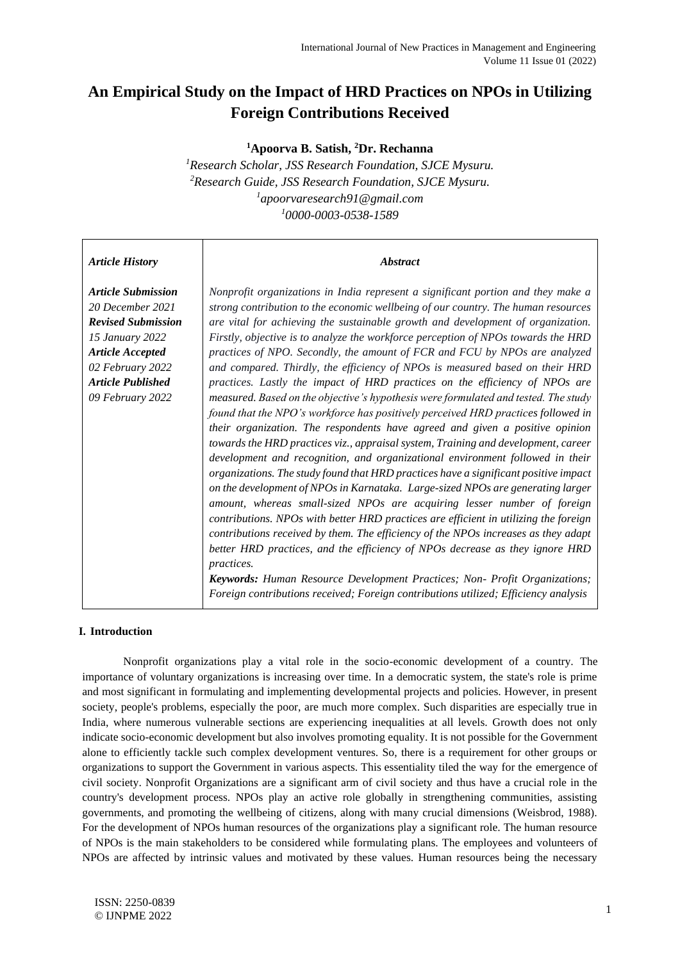# **An Empirical Study on the Impact of HRD Practices on NPOs in Utilizing Foreign Contributions Received**

**<sup>1</sup>Apoorva B. Satish, <sup>2</sup>Dr. Rechanna**

*Research Scholar, JSS Research Foundation, SJCE Mysuru. Research Guide, JSS Research Foundation, SJCE Mysuru. apoorvaresearch91@gmail.com 0000-0003-0538-1589* 

## *Article History*

## *Abstract*

*Article Submission 20 December 2021 Revised Submission 15 January 2022 Article Accepted 02 February 2022 Article Published 09 February 2022*

*Nonprofit organizations in India represent a significant portion and they make a strong contribution to the economic wellbeing of our country. The human resources are vital for achieving the sustainable growth and development of organization. Firstly, objective is to analyze the workforce perception of NPOs towards the HRD practices of NPO. Secondly, the amount of FCR and FCU by NPOs are analyzed and compared. Thirdly, the efficiency of NPOs is measured based on their HRD practices. Lastly the impact of HRD practices on the efficiency of NPOs are measured. Based on the objective's hypothesis were formulated and tested. The study found that the NPO's workforce has positively perceived HRD practices followed in their organization. The respondents have agreed and given a positive opinion towards the HRD practices viz., appraisal system, Training and development, career development and recognition, and organizational environment followed in their organizations. The study found that HRD practices have a significant positive impact on the development of NPOs in Karnataka. Large-sized NPOs are generating larger amount, whereas small-sized NPOs are acquiring lesser number of foreign contributions. NPOs with better HRD practices are efficient in utilizing the foreign contributions received by them. The efficiency of the NPOs increases as they adapt better HRD practices, and the efficiency of NPOs decrease as they ignore HRD practices.*

*Keywords: Human Resource Development Practices; Non- Profit Organizations; Foreign contributions received; Foreign contributions utilized; Efficiency analysis*

## **I. Introduction**

Nonprofit organizations play a vital role in the socio-economic development of a country. The importance of voluntary organizations is increasing over time. In a democratic system, the state's role is prime and most significant in formulating and implementing developmental projects and policies. However, in present society, people's problems, especially the poor, are much more complex. Such disparities are especially true in India, where numerous vulnerable sections are experiencing inequalities at all levels. Growth does not only indicate socio-economic development but also involves promoting equality. It is not possible for the Government alone to efficiently tackle such complex development ventures. So, there is a requirement for other groups or organizations to support the Government in various aspects. This essentiality tiled the way for the emergence of civil society. Nonprofit Organizations are a significant arm of civil society and thus have a crucial role in the country's development process. NPOs play an active role globally in strengthening communities, assisting governments, and promoting the wellbeing of citizens, along with many crucial dimensions (Weisbrod, 1988). For the development of NPOs human resources of the organizations play a significant role. The human resource of NPOs is the main stakeholders to be considered while formulating plans. The employees and volunteers of NPOs are affected by intrinsic values and motivated by these values. Human resources being the necessary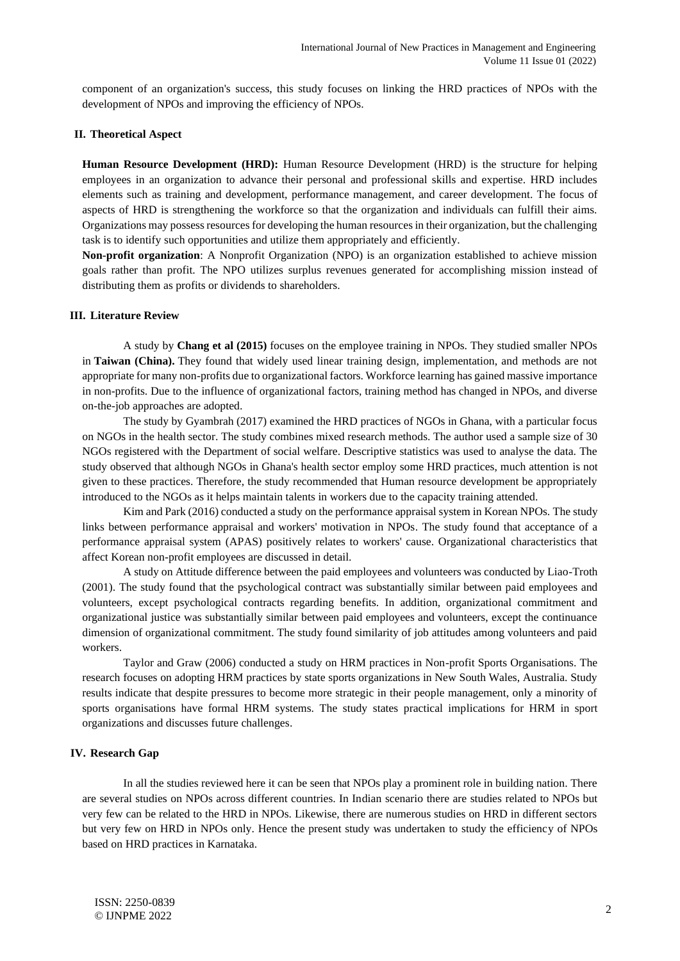component of an organization's success, this study focuses on linking the HRD practices of NPOs with the development of NPOs and improving the efficiency of NPOs.

#### **II. Theoretical Aspect**

**Human Resource Development (HRD):** Human Resource Development (HRD) is the structure for helping employees in an organization to advance their personal and professional skills and expertise. HRD includes elements such as training and development, performance management, and career development. The focus of aspects of HRD is strengthening the workforce so that the organization and individuals can fulfill their aims. Organizations may possess resources for developing the human resources in their organization, but the challenging task is to identify such opportunities and utilize them appropriately and efficiently.

**Non-profit organization**: A Nonprofit Organization (NPO) is an organization established to achieve mission goals rather than profit. The NPO utilizes surplus revenues generated for accomplishing mission instead of distributing them as profits or dividends to shareholders.

#### **III. Literature Review**

A study by **Chang et al (2015)** focuses on the employee training in NPOs. They studied smaller NPOs in **Taiwan (China).** They found that widely used linear training design, implementation, and methods are not appropriate for many non-profits due to organizational factors. Workforce learning has gained massive importance in non-profits. Due to the influence of organizational factors, training method has changed in NPOs, and diverse on-the-job approaches are adopted.

The study by Gyambrah (2017) examined the HRD practices of NGOs in Ghana, with a particular focus on NGOs in the health sector. The study combines mixed research methods. The author used a sample size of 30 NGOs registered with the Department of social welfare. Descriptive statistics was used to analyse the data. The study observed that although NGOs in Ghana's health sector employ some HRD practices, much attention is not given to these practices. Therefore, the study recommended that Human resource development be appropriately introduced to the NGOs as it helps maintain talents in workers due to the capacity training attended.

Kim and Park (2016) conducted a study on the performance appraisal system in Korean NPOs. The study links between performance appraisal and workers' motivation in NPOs. The study found that acceptance of a performance appraisal system (APAS) positively relates to workers' cause. Organizational characteristics that affect Korean non-profit employees are discussed in detail.

A study on Attitude difference between the paid employees and volunteers was conducted by Liao-Troth (2001). The study found that the psychological contract was substantially similar between paid employees and volunteers, except psychological contracts regarding benefits. In addition, organizational commitment and organizational justice was substantially similar between paid employees and volunteers, except the continuance dimension of organizational commitment. The study found similarity of job attitudes among volunteers and paid workers.

Taylor and Graw (2006) conducted a study on HRM practices in Non-profit Sports Organisations. The research focuses on adopting HRM practices by state sports organizations in New South Wales, Australia. Study results indicate that despite pressures to become more strategic in their people management, only a minority of sports organisations have formal HRM systems. The study states practical implications for HRM in sport organizations and discusses future challenges.

#### **IV. Research Gap**

In all the studies reviewed here it can be seen that NPOs play a prominent role in building nation. There are several studies on NPOs across different countries. In Indian scenario there are studies related to NPOs but very few can be related to the HRD in NPOs. Likewise, there are numerous studies on HRD in different sectors but very few on HRD in NPOs only. Hence the present study was undertaken to study the efficiency of NPOs based on HRD practices in Karnataka.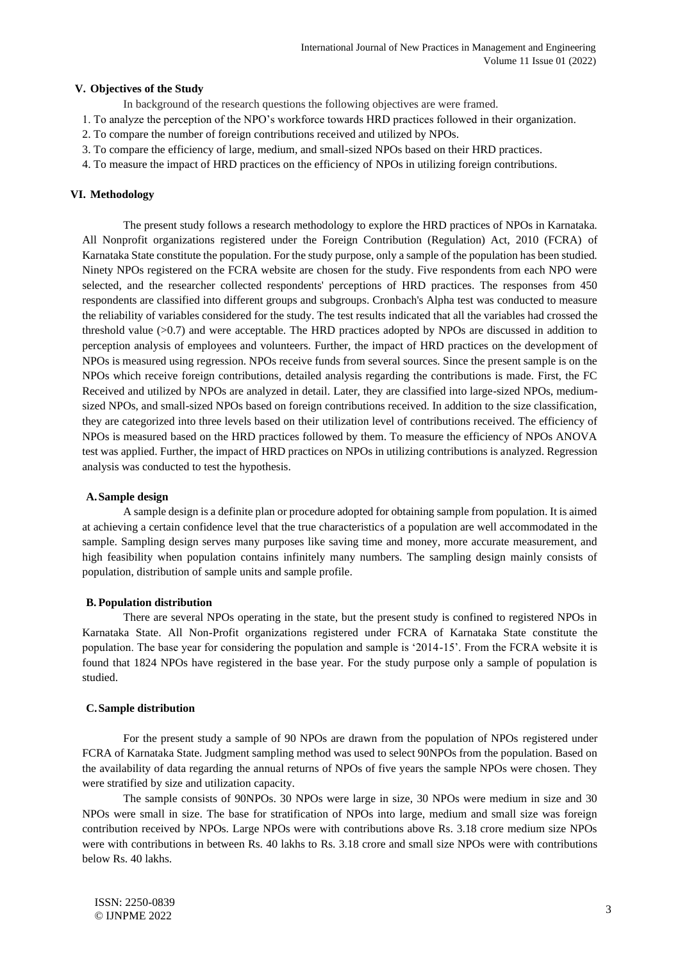#### **V. Objectives of the Study**

In background of the research questions the following objectives are were framed.

- 1. To analyze the perception of the NPO's workforce towards HRD practices followed in their organization.
- 2. To compare the number of foreign contributions received and utilized by NPOs.
- 3. To compare the efficiency of large, medium, and small-sized NPOs based on their HRD practices.
- 4. To measure the impact of HRD practices on the efficiency of NPOs in utilizing foreign contributions.

### **VI. Methodology**

The present study follows a research methodology to explore the HRD practices of NPOs in Karnataka. All Nonprofit organizations registered under the Foreign Contribution (Regulation) Act, 2010 (FCRA) of Karnataka State constitute the population. For the study purpose, only a sample of the population has been studied. Ninety NPOs registered on the FCRA website are chosen for the study. Five respondents from each NPO were selected, and the researcher collected respondents' perceptions of HRD practices. The responses from 450 respondents are classified into different groups and subgroups. Cronbach's Alpha test was conducted to measure the reliability of variables considered for the study. The test results indicated that all the variables had crossed the threshold value (>0.7) and were acceptable. The HRD practices adopted by NPOs are discussed in addition to perception analysis of employees and volunteers. Further, the impact of HRD practices on the development of NPOs is measured using regression. NPOs receive funds from several sources. Since the present sample is on the NPOs which receive foreign contributions, detailed analysis regarding the contributions is made. First, the FC Received and utilized by NPOs are analyzed in detail. Later, they are classified into large-sized NPOs, mediumsized NPOs, and small-sized NPOs based on foreign contributions received. In addition to the size classification, they are categorized into three levels based on their utilization level of contributions received. The efficiency of NPOs is measured based on the HRD practices followed by them. To measure the efficiency of NPOs ANOVA test was applied. Further, the impact of HRD practices on NPOs in utilizing contributions is analyzed. Regression analysis was conducted to test the hypothesis.

#### **A.Sample design**

A sample design is a definite plan or procedure adopted for obtaining sample from population. It is aimed at achieving a certain confidence level that the true characteristics of a population are well accommodated in the sample. Sampling design serves many purposes like saving time and money, more accurate measurement, and high feasibility when population contains infinitely many numbers. The sampling design mainly consists of population, distribution of sample units and sample profile.

#### **B. Population distribution**

There are several NPOs operating in the state, but the present study is confined to registered NPOs in Karnataka State. All Non-Profit organizations registered under FCRA of Karnataka State constitute the population. The base year for considering the population and sample is '2014-15'. From the FCRA website it is found that 1824 NPOs have registered in the base year. For the study purpose only a sample of population is studied.

#### **C.Sample distribution**

For the present study a sample of 90 NPOs are drawn from the population of NPOs registered under FCRA of Karnataka State. Judgment sampling method was used to select 90NPOs from the population. Based on the availability of data regarding the annual returns of NPOs of five years the sample NPOs were chosen. They were stratified by size and utilization capacity.

The sample consists of 90NPOs. 30 NPOs were large in size, 30 NPOs were medium in size and 30 NPOs were small in size. The base for stratification of NPOs into large, medium and small size was foreign contribution received by NPOs. Large NPOs were with contributions above Rs. 3.18 crore medium size NPOs were with contributions in between Rs. 40 lakhs to Rs. 3.18 crore and small size NPOs were with contributions below Rs. 40 lakhs.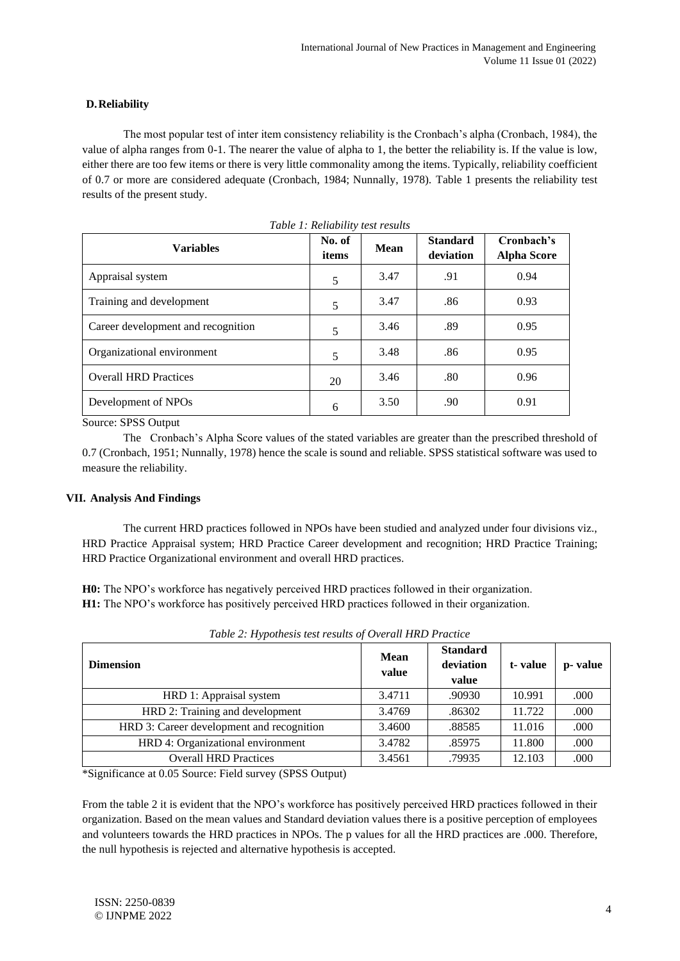### **D.Reliability**

The most popular test of inter item consistency reliability is the Cronbach's alpha (Cronbach, 1984), the value of alpha ranges from 0-1. The nearer the value of alpha to 1, the better the reliability is. If the value is low, either there are too few items or there is very little commonality among the items. Typically, reliability coefficient of 0.7 or more are considered adequate (Cronbach, 1984; Nunnally, 1978). Table 1 presents the reliability test results of the present study.

| <b>Variables</b>                   | No. of<br>items | <b>Mean</b> |     | Cronbach's<br><b>Alpha Score</b> |
|------------------------------------|-----------------|-------------|-----|----------------------------------|
| Appraisal system                   | 5               | 3.47        | .91 | 0.94                             |
| Training and development           | 5               | 3.47        | .86 | 0.93                             |
| Career development and recognition | 5               | 3.46        | .89 | 0.95                             |
| Organizational environment         | 5               | 3.48        | .86 | 0.95                             |
| <b>Overall HRD Practices</b>       | 20              | 3.46        | .80 | 0.96                             |
| Development of NPOs                | 6               | 3.50        | .90 | 0.91                             |

*Table 1: Reliability test results*

Source: SPSS Output

The Cronbach's Alpha Score values of the stated variables are greater than the prescribed threshold of 0.7 (Cronbach, 1951; Nunnally, 1978) hence the scale is sound and reliable. SPSS statistical software was used to measure the reliability.

### **VII. Analysis And Findings**

The current HRD practices followed in NPOs have been studied and analyzed under four divisions viz., HRD Practice Appraisal system; HRD Practice Career development and recognition; HRD Practice Training; HRD Practice Organizational environment and overall HRD practices.

**H0:** The NPO's workforce has negatively perceived HRD practices followed in their organization. **H1:** The NPO's workforce has positively perceived HRD practices followed in their organization.

| <b>Dimension</b>                          | <b>Mean</b><br>value | <b>Standard</b><br>deviation<br>value | t-value | p-value |
|-------------------------------------------|----------------------|---------------------------------------|---------|---------|
| HRD 1: Appraisal system                   | 3.4711               | .90930                                | 10.991  | .000    |
| HRD 2: Training and development           | 3.4769               | .86302                                | 11.722  | .000    |
| HRD 3: Career development and recognition | 3.4600               | .88585                                | 11.016  | .000    |
| HRD 4: Organizational environment         | 3.4782               | .85975                                | 11.800  | .000    |
| <b>Overall HRD Practices</b>              | 3.4561               | .79935                                | 12.103  | .000    |

*Table 2: Hypothesis test results of Overall HRD Practice*

\*Significance at 0.05 Source: Field survey (SPSS Output)

From the table 2 it is evident that the NPO's workforce has positively perceived HRD practices followed in their organization. Based on the mean values and Standard deviation values there is a positive perception of employees and volunteers towards the HRD practices in NPOs. The p values for all the HRD practices are .000. Therefore, the null hypothesis is rejected and alternative hypothesis is accepted.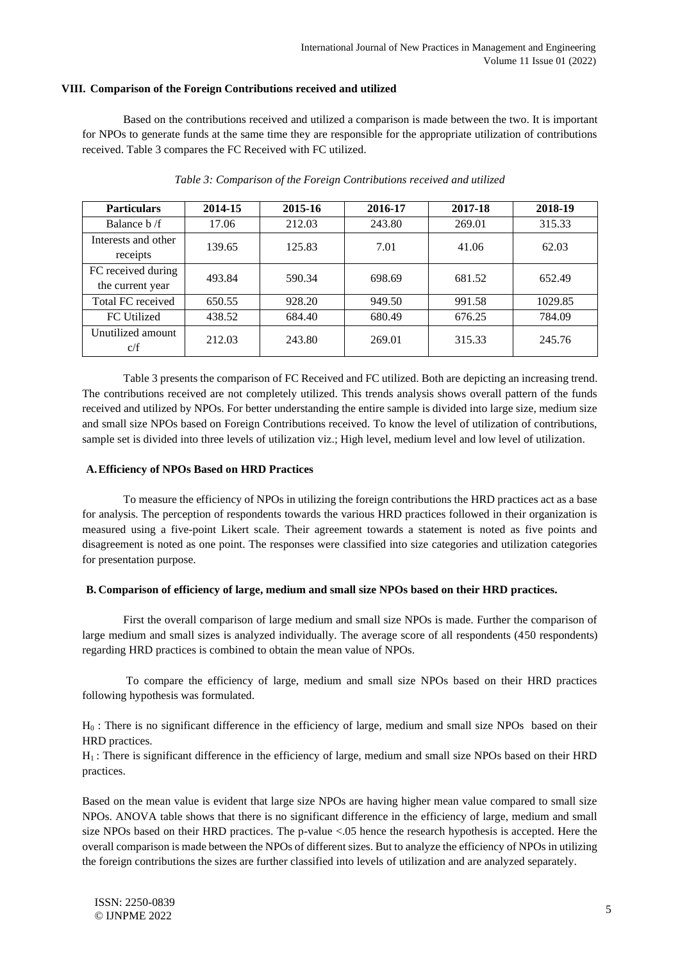#### **VIII. Comparison of the Foreign Contributions received and utilized**

Based on the contributions received and utilized a comparison is made between the two. It is important for NPOs to generate funds at the same time they are responsible for the appropriate utilization of contributions received. Table 3 compares the FC Received with FC utilized.

| <b>Particulars</b>                     | 2014-15 | 2015-16 | 2016-17 | 2017-18 | 2018-19 |
|----------------------------------------|---------|---------|---------|---------|---------|
| Balance b /f                           | 17.06   | 212.03  | 243.80  | 269.01  | 315.33  |
| Interests and other<br>receipts        | 139.65  | 125.83  | 7.01    | 41.06   | 62.03   |
| FC received during<br>the current year | 493.84  | 590.34  | 698.69  | 681.52  | 652.49  |
| Total FC received                      | 650.55  | 928.20  | 949.50  | 991.58  | 1029.85 |
| FC Utilized                            | 438.52  | 684.40  | 680.49  | 676.25  | 784.09  |
| Unutilized amount<br>c/f               | 212.03  | 243.80  | 269.01  | 315.33  | 245.76  |

#### *Table 3: Comparison of the Foreign Contributions received and utilized*

Table 3 presents the comparison of FC Received and FC utilized. Both are depicting an increasing trend. The contributions received are not completely utilized. This trends analysis shows overall pattern of the funds received and utilized by NPOs. For better understanding the entire sample is divided into large size, medium size and small size NPOs based on Foreign Contributions received. To know the level of utilization of contributions, sample set is divided into three levels of utilization viz.; High level, medium level and low level of utilization.

#### **A.Efficiency of NPOs Based on HRD Practices**

To measure the efficiency of NPOs in utilizing the foreign contributions the HRD practices act as a base for analysis. The perception of respondents towards the various HRD practices followed in their organization is measured using a five-point Likert scale. Their agreement towards a statement is noted as five points and disagreement is noted as one point. The responses were classified into size categories and utilization categories for presentation purpose.

#### **B. Comparison of efficiency of large, medium and small size NPOs based on their HRD practices.**

First the overall comparison of large medium and small size NPOs is made. Further the comparison of large medium and small sizes is analyzed individually. The average score of all respondents (450 respondents) regarding HRD practices is combined to obtain the mean value of NPOs.

To compare the efficiency of large, medium and small size NPOs based on their HRD practices following hypothesis was formulated.

H<sup>0</sup> : There is no significant difference in the efficiency of large, medium and small size NPOs based on their HRD practices.

H1 : There is significant difference in the efficiency of large, medium and small size NPOs based on their HRD practices.

Based on the mean value is evident that large size NPOs are having higher mean value compared to small size NPOs. ANOVA table shows that there is no significant difference in the efficiency of large, medium and small size NPOs based on their HRD practices. The p-value <.05 hence the research hypothesis is accepted. Here the overall comparison is made between the NPOs of different sizes. But to analyze the efficiency of NPOs in utilizing the foreign contributions the sizes are further classified into levels of utilization and are analyzed separately.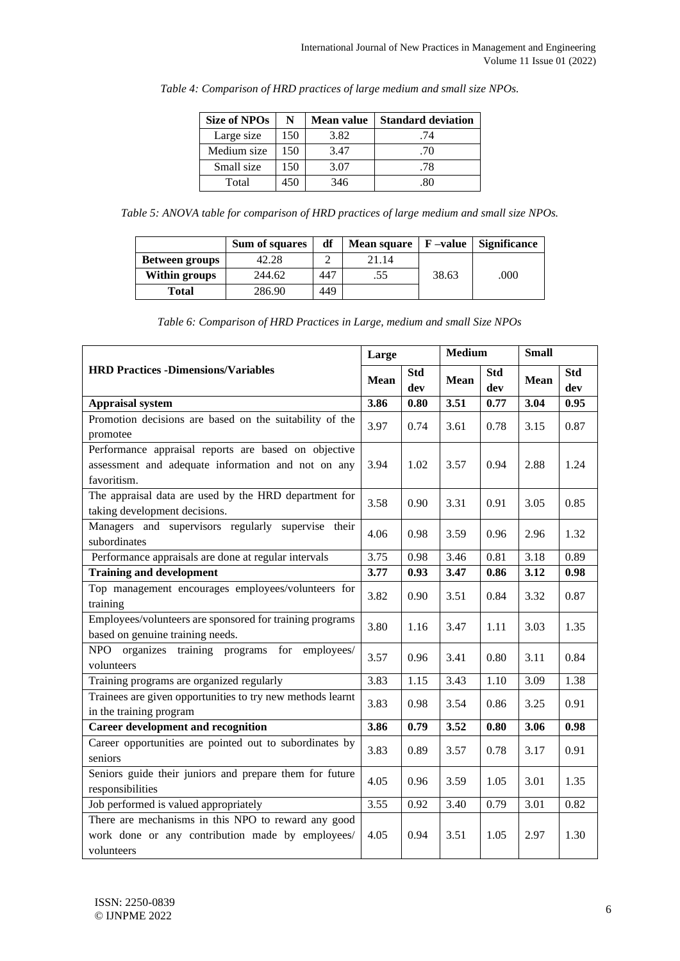| <b>Size of NPOs</b> | N   | Mean value | <b>Standard deviation</b> |
|---------------------|-----|------------|---------------------------|
| Large size          | 150 | 3.82       | .74                       |
| Medium size         | 150 | 3.47       | .70                       |
| Small size          | 150 | 3.07       | .78                       |
| Total               | 450 | 346        |                           |

*Table 4: Comparison of HRD practices of large medium and small size NPOs.*

*Table 5: ANOVA table for comparison of HRD practices of large medium and small size NPOs.*

|                       | Sum of squares | df  | <b>Mean square</b> | $F$ –value | <b>Significance</b> |
|-----------------------|----------------|-----|--------------------|------------|---------------------|
| <b>Between groups</b> | 42.28          |     | 21.14              |            |                     |
| <b>Within groups</b>  | 244.62         | 447 | .55                | 38.63      | .000                |
| Total                 | 286.90         | 449 |                    |            |                     |

*Table 6: Comparison of HRD Practices in Large, medium and small Size NPOs*

|                                                                                                                           | Large       |                   | <b>Medium</b> |                   | <b>Small</b> |                   |  |
|---------------------------------------------------------------------------------------------------------------------------|-------------|-------------------|---------------|-------------------|--------------|-------------------|--|
| <b>HRD Practices -Dimensions/Variables</b>                                                                                | <b>Mean</b> | <b>Std</b><br>dev | <b>Mean</b>   | <b>Std</b><br>dev | <b>Mean</b>  | <b>Std</b><br>dev |  |
| <b>Appraisal system</b>                                                                                                   | 3.86        | 0.80              | 3.51          | 0.77              | 3.04         | 0.95              |  |
| Promotion decisions are based on the suitability of the<br>promotee                                                       | 3.97        | 0.74              | 3.61          | 0.78              | 3.15         | 0.87              |  |
| Performance appraisal reports are based on objective<br>assessment and adequate information and not on any<br>favoritism. | 3.94        | 1.02              | 3.57          | 0.94              | 2.88         | 1.24              |  |
| The appraisal data are used by the HRD department for<br>taking development decisions.                                    | 3.58        | 0.90              | 3.31          | 0.91              | 3.05         | 0.85              |  |
| Managers and supervisors regularly supervise their<br>subordinates                                                        | 4.06        | 0.98              | 3.59          | 0.96              | 2.96         | 1.32              |  |
| Performance appraisals are done at regular intervals                                                                      | 3.75        | 0.98              | 3.46          | 0.81              | 3.18         | 0.89              |  |
| <b>Training and development</b>                                                                                           | 3.77        | 0.93              | 3.47          | 0.86              | 3.12         | 0.98              |  |
| Top management encourages employees/volunteers for<br>training                                                            | 3.82        | 0.90              | 3.51          | 0.84              | 3.32         | 0.87              |  |
| Employees/volunteers are sponsored for training programs<br>based on genuine training needs.                              | 3.80        | 1.16              | 3.47          | 1.11              | 3.03         | 1.35              |  |
| NPO organizes training programs for employees/<br>volunteers                                                              | 3.57        | 0.96              | 3.41          | 0.80              | 3.11         | 0.84              |  |
| Training programs are organized regularly                                                                                 | 3.83        | 1.15              | 3.43          | 1.10              | 3.09         | 1.38              |  |
| Trainees are given opportunities to try new methods learnt<br>in the training program                                     | 3.83        | 0.98              | 3.54          | 0.86              | 3.25         | 0.91              |  |
| <b>Career development and recognition</b>                                                                                 | 3.86        | 0.79              | 3.52          | 0.80              | 3.06         | 0.98              |  |
| Career opportunities are pointed out to subordinates by<br>seniors                                                        | 3.83        | 0.89              | 3.57          | 0.78              | 3.17         | 0.91              |  |
| Seniors guide their juniors and prepare them for future<br>responsibilities                                               | 4.05        | 0.96              | 3.59          | 1.05              | 3.01         | 1.35              |  |
| Job performed is valued appropriately                                                                                     | 3.55        | 0.92              | 3.40          | 0.79              | 3.01         | 0.82              |  |
| There are mechanisms in this NPO to reward any good<br>work done or any contribution made by employees/<br>volunteers     | 4.05        | 0.94              | 3.51          | 1.05              | 2.97         | 1.30              |  |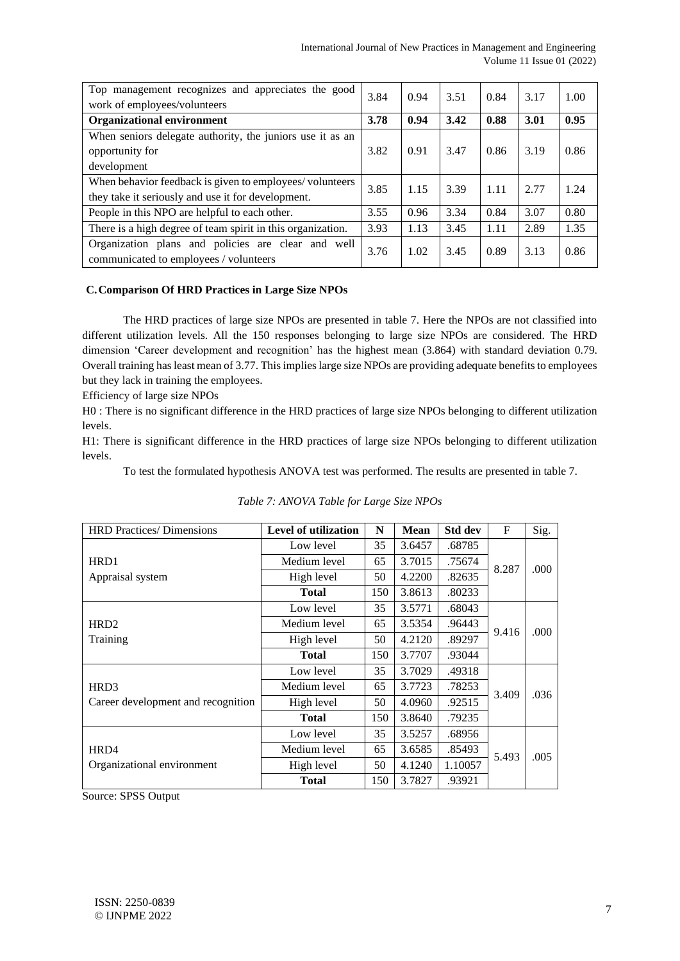| Top management recognizes and appreciates the good<br>work of employees/volunteers                            |      | 0.94 | 3.51 | 0.84 | 3.17 | 1.00 |
|---------------------------------------------------------------------------------------------------------------|------|------|------|------|------|------|
| <b>Organizational environment</b>                                                                             | 3.78 | 0.94 | 3.42 | 0.88 | 3.01 | 0.95 |
| When seniors delegate authority, the juniors use it as an<br>opportunity for<br>development                   | 3.82 | 0.91 | 3.47 | 0.86 | 3.19 | 0.86 |
| When behavior feedback is given to employees/volunteers<br>they take it seriously and use it for development. | 3.85 | 1.15 | 3.39 | 1.11 | 2.77 | 1.24 |
| People in this NPO are helpful to each other.                                                                 | 3.55 | 0.96 | 3.34 | 0.84 | 3.07 | 0.80 |
| There is a high degree of team spirit in this organization.                                                   | 3.93 | 1.13 | 3.45 | 1.11 | 2.89 | 1.35 |
| Organization plans and policies are clear and well<br>communicated to employees / volunteers                  | 3.76 | 1.02 | 3.45 | 0.89 | 3.13 | 0.86 |

## **C.Comparison Of HRD Practices in Large Size NPOs**

The HRD practices of large size NPOs are presented in table 7. Here the NPOs are not classified into different utilization levels. All the 150 responses belonging to large size NPOs are considered. The HRD dimension 'Career development and recognition' has the highest mean (3.864) with standard deviation 0.79. Overall training has least mean of 3.77. This implies large size NPOs are providing adequate benefits to employees but they lack in training the employees.

Efficiency of large size NPOs

H0 : There is no significant difference in the HRD practices of large size NPOs belonging to different utilization levels.

H1: There is significant difference in the HRD practices of large size NPOs belonging to different utilization levels.

To test the formulated hypothesis ANOVA test was performed. The results are presented in table 7.

| <b>HRD</b> Practices/Dimensions    | Level of utilization | N   | <b>Mean</b> | <b>Std dev</b> | $\mathbf F$ | Sig. |
|------------------------------------|----------------------|-----|-------------|----------------|-------------|------|
|                                    | Low level            | 35  | 3.6457      | .68785         |             |      |
| HRD1                               | Medium level         | 65  | 3.7015      | .75674         | 8.287       | .000 |
| Appraisal system                   | High level           | 50  | 4.2200      | .82635         |             |      |
|                                    | <b>Total</b>         | 150 | 3.8613      | .80233         |             |      |
|                                    | Low level            | 35  | 3.5771      | .68043         |             |      |
| HR <sub>D</sub> 2                  | Medium level         | 65  | 3.5354      | .96443         |             |      |
| <b>Training</b>                    | High level           | 50  | 4.2120      | .89297         | 9.416       | .000 |
|                                    | <b>Total</b>         | 150 | 3.7707      | .93044         |             |      |
|                                    | Low level            | 35  | 3.7029      | .49318         |             |      |
| HRD <sub>3</sub>                   | Medium level         | 65  | 3.7723      | .78253         | 3.409       | .036 |
| Career development and recognition | High level           | 50  | 4.0960      | .92515         |             |      |
|                                    | <b>Total</b>         | 150 | 3.8640      | .79235         |             |      |
|                                    | Low level            | 35  | 3.5257      | .68956         |             |      |
| HRD4                               | Medium level         | 65  | 3.6585      | .85493         |             |      |
| Organizational environment         | High level           | 50  | 4.1240      | 1.10057        | 5.493       | .005 |
|                                    | <b>Total</b>         | 150 | 3.7827      | .93921         |             |      |

|  | Table 7: ANOVA Table for Large Size NPOs |  |  |  |
|--|------------------------------------------|--|--|--|
|  |                                          |  |  |  |

Source: SPSS Output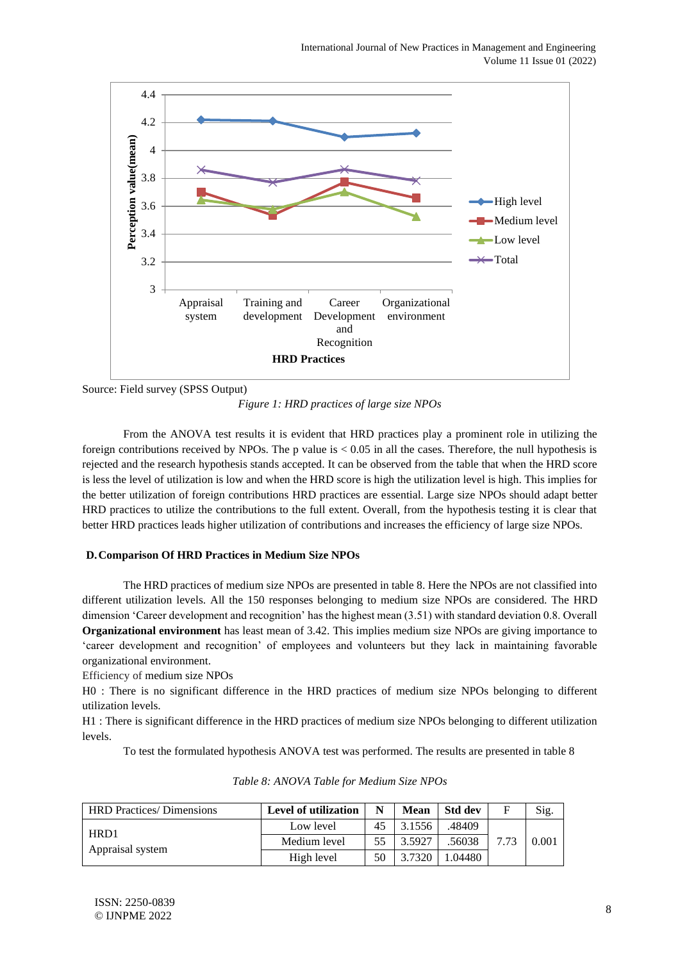

Source: Field survey (SPSS Output)

*Figure 1: HRD practices of large size NPOs*

From the ANOVA test results it is evident that HRD practices play a prominent role in utilizing the foreign contributions received by NPOs. The p value is < 0.05 in all the cases. Therefore, the null hypothesis is rejected and the research hypothesis stands accepted. It can be observed from the table that when the HRD score is less the level of utilization is low and when the HRD score is high the utilization level is high. This implies for the better utilization of foreign contributions HRD practices are essential. Large size NPOs should adapt better HRD practices to utilize the contributions to the full extent. Overall, from the hypothesis testing it is clear that better HRD practices leads higher utilization of contributions and increases the efficiency of large size NPOs.

## **D.Comparison Of HRD Practices in Medium Size NPOs**

The HRD practices of medium size NPOs are presented in table 8. Here the NPOs are not classified into different utilization levels. All the 150 responses belonging to medium size NPOs are considered. The HRD dimension 'Career development and recognition' has the highest mean (3.51) with standard deviation 0.8. Overall **Organizational environment** has least mean of 3.42. This implies medium size NPOs are giving importance to 'career development and recognition' of employees and volunteers but they lack in maintaining favorable organizational environment.

Efficiency of medium size NPOs

H0 : There is no significant difference in the HRD practices of medium size NPOs belonging to different utilization levels.

H1 : There is significant difference in the HRD practices of medium size NPOs belonging to different utilization levels.

To test the formulated hypothesis ANOVA test was performed. The results are presented in table 8

| <b>HRD Practices/ Dimensions</b> | Level of utilization | N  | <b>Mean</b> | <b>Std dev</b> | F | Sig.  |
|----------------------------------|----------------------|----|-------------|----------------|---|-------|
| HRD1                             | Low level            | 45 | 3.1556      | 48409.         |   |       |
| Appraisal system                 | Medium level         | 55 | 3.5927      | 56038          |   | 0.001 |
|                                  | High level           | 50 | 3.7320      | .04480         |   |       |

*Table 8: ANOVA Table for Medium Size NPOs*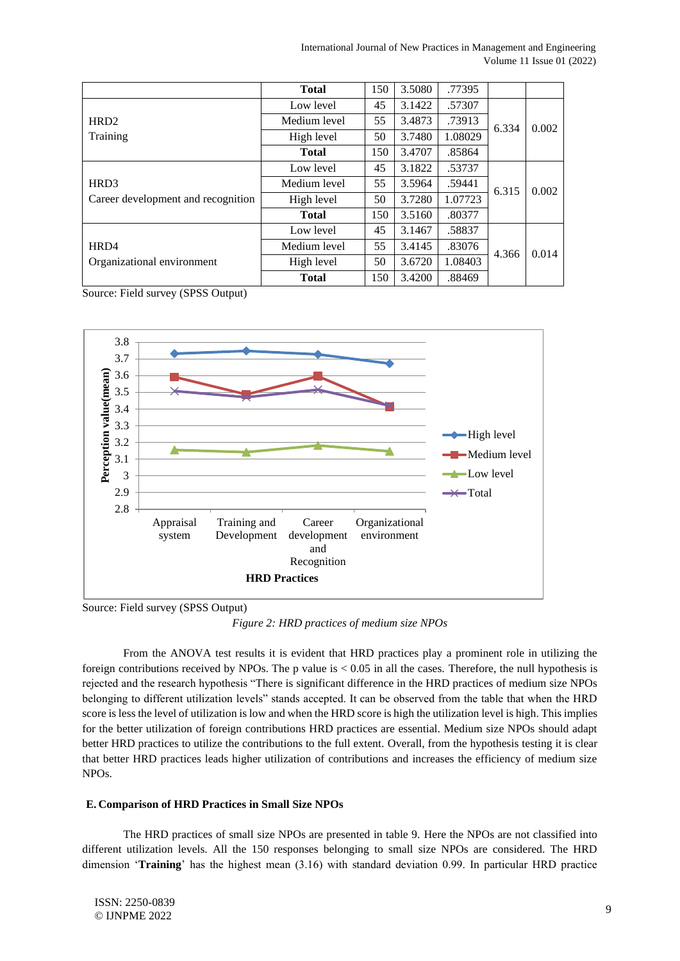|                                    | <b>Total</b> | 150 | 3.5080 | .77395  |       |       |
|------------------------------------|--------------|-----|--------|---------|-------|-------|
|                                    | Low level    | 45  | 3.1422 | .57307  |       |       |
| HRD <sub>2</sub>                   | Medium level | 55  | 3.4873 | .73913  | 6.334 | 0.002 |
| Training                           | High level   | 50  | 3.7480 | 1.08029 |       |       |
|                                    | <b>Total</b> | 150 | 3.4707 | .85864  |       |       |
|                                    | Low level    | 45  | 3.1822 | .53737  |       |       |
| HRD <sub>3</sub>                   | Medium level | 55  | 3.5964 | .59441  | 6.315 | 0.002 |
| Career development and recognition | High level   | 50  | 3.7280 | 1.07723 |       |       |
|                                    | <b>Total</b> | 150 | 3.5160 | .80377  |       |       |
|                                    | Low level    | 45  | 3.1467 | .58837  |       |       |
| HRD4                               | Medium level | 55  | 3.4145 | .83076  | 4.366 | 0.014 |
| Organizational environment         | High level   | 50  | 3.6720 | 1.08403 |       |       |
|                                    | <b>Total</b> | 150 | 3.4200 | .88469  |       |       |

Source: Field survey (SPSS Output)



Source: Field survey (SPSS Output)

*Figure 2: HRD practices of medium size NPOs*

From the ANOVA test results it is evident that HRD practices play a prominent role in utilizing the foreign contributions received by NPOs. The p value is  $< 0.05$  in all the cases. Therefore, the null hypothesis is rejected and the research hypothesis "There is significant difference in the HRD practices of medium size NPOs belonging to different utilization levels" stands accepted. It can be observed from the table that when the HRD score is less the level of utilization is low and when the HRD score is high the utilization level is high. This implies for the better utilization of foreign contributions HRD practices are essential. Medium size NPOs should adapt better HRD practices to utilize the contributions to the full extent. Overall, from the hypothesis testing it is clear that better HRD practices leads higher utilization of contributions and increases the efficiency of medium size NPOs.

## **E. Comparison of HRD Practices in Small Size NPOs**

The HRD practices of small size NPOs are presented in table 9. Here the NPOs are not classified into different utilization levels. All the 150 responses belonging to small size NPOs are considered. The HRD dimension '**Training**' has the highest mean (3.16) with standard deviation 0.99. In particular HRD practice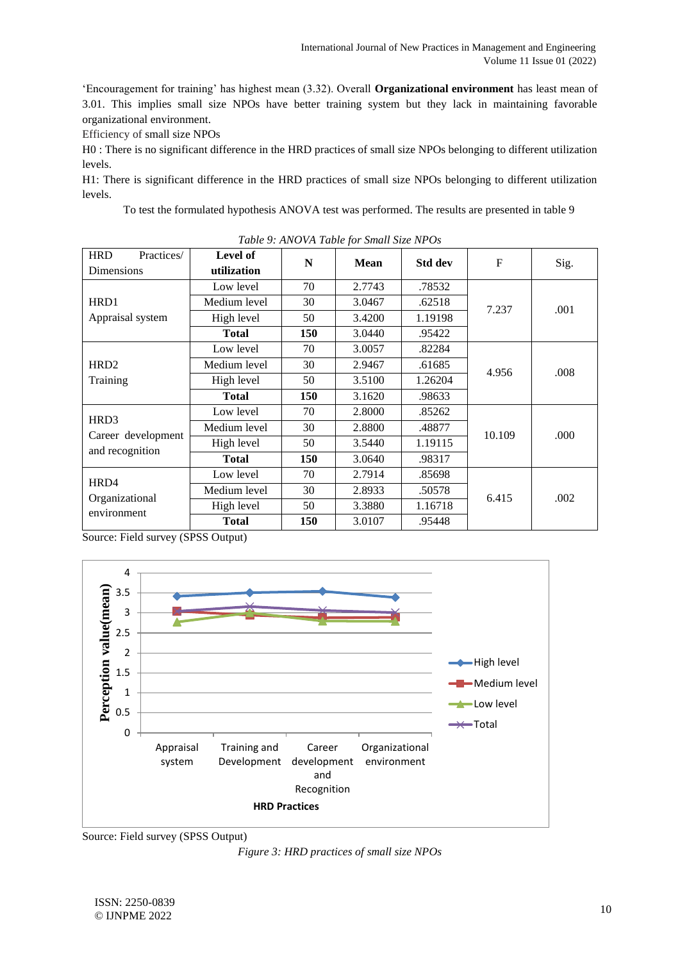'Encouragement for training' has highest mean (3.32). Overall **Organizational environment** has least mean of 3.01. This implies small size NPOs have better training system but they lack in maintaining favorable organizational environment.

Efficiency of small size NPOs

H0 : There is no significant difference in the HRD practices of small size NPOs belonging to different utilization levels.

H1: There is significant difference in the HRD practices of small size NPOs belonging to different utilization levels.

To test the formulated hypothesis ANOVA test was performed. The results are presented in table 9

| <b>HRD</b><br>Practices/      | Level of     |     | Tubic 9. Turo VII Tubic for Shah Size In OS |                |        |      |
|-------------------------------|--------------|-----|---------------------------------------------|----------------|--------|------|
| Dimensions                    | utilization  | N   | <b>Mean</b>                                 | <b>Std dev</b> | F      | Sig. |
|                               | Low level    | 70  | 2.7743                                      | .78532         |        |      |
| HRD1                          | Medium level | 30  | 3.0467                                      | .62518         |        |      |
| Appraisal system              | High level   | 50  | 3.4200                                      | 1.19198        | 7.237  | .001 |
|                               | <b>Total</b> | 150 | 3.0440                                      | .95422         |        |      |
|                               | Low level    | 70  | 3.0057                                      | .82284         |        |      |
| HRD <sub>2</sub>              | Medium level | 30  | 2.9467                                      | .61685         |        |      |
| Training                      | High level   | 50  | 3.5100                                      | 1.26204        | 4.956  | .008 |
|                               | <b>Total</b> | 150 | 3.1620                                      | .98633         |        |      |
|                               | Low level    | 70  | 2.8000                                      | .85262         |        |      |
| HRD3                          | Medium level | 30  | 2.8800                                      | .48877         | 10.109 | .000 |
| Career development            | High level   | 50  | 3.5440                                      | 1.19115        |        |      |
| and recognition               | <b>Total</b> | 150 | 3.0640                                      | .98317         |        |      |
|                               | Low level    | 70  | 2.7914                                      | .85698         |        |      |
| HRD4                          | Medium level | 30  | 2.8933                                      | .50578         |        |      |
| Organizational<br>environment | High level   | 50  | 3.3880                                      | 1.16718        | 6.415  | .002 |
|                               | <b>Total</b> | 150 | 3.0107                                      | .95448         |        |      |

*Table 9: ANOVA Table for Small Size NPOs*

Source: Field survey (SPSS Output)



Source: Field survey (SPSS Output)

*Figure 3: HRD practices of small size NPOs*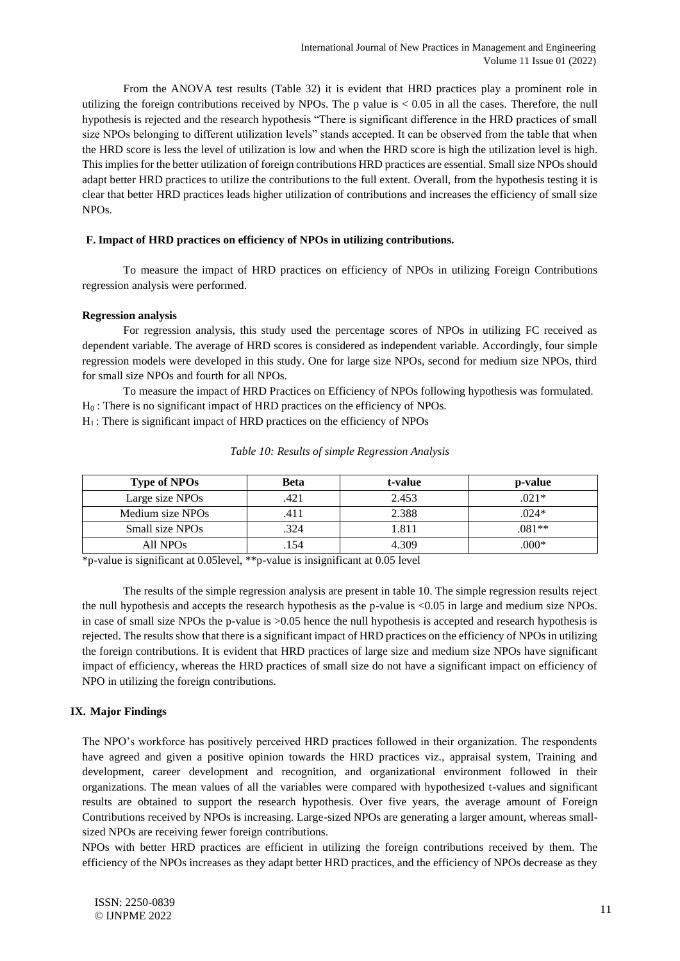From the ANOVA test results (Table 32) it is evident that HRD practices play a prominent role in utilizing the foreign contributions received by NPOs. The p value is  $< 0.05$  in all the cases. Therefore, the null hypothesis is rejected and the research hypothesis "There is significant difference in the HRD practices of small size NPOs belonging to different utilization levels" stands accepted. It can be observed from the table that when the HRD score is less the level of utilization is low and when the HRD score is high the utilization level is high. This implies for the better utilization of foreign contributions HRD practices are essential. Small size NPOs should adapt better HRD practices to utilize the contributions to the full extent. Overall, from the hypothesis testing it is clear that better HRD practices leads higher utilization of contributions and increases the efficiency of small size NPOs.

#### **F. Impact of HRD practices on efficiency of NPOs in utilizing contributions.**

To measure the impact of HRD practices on efficiency of NPOs in utilizing Foreign Contributions regression analysis were performed.

#### **Regression analysis**

For regression analysis, this study used the percentage scores of NPOs in utilizing FC received as dependent variable. The average of HRD scores is considered as independent variable. Accordingly, four simple regression models were developed in this study. One for large size NPOs, second for medium size NPOs, third for small size NPOs and fourth for all NPOs.

To measure the impact of HRD Practices on Efficiency of NPOs following hypothesis was formulated. H<sub>0</sub>: There is no significant impact of HRD practices on the efficiency of NPOs.

 $H<sub>1</sub>$ : There is significant impact of HRD practices on the efficiency of NPOs

| <b>Type of NPOs</b>  | <b>Beta</b> | t-value | p-value |
|----------------------|-------------|---------|---------|
| Large size NPOs      | .421        | 2.453   | $.021*$ |
| Medium size NPOs     | .411        | 2.388   | $.024*$ |
| Small size NPOs      | .324        | 1.811   | $081**$ |
| All NPO <sub>s</sub> | 154         | 4 309   | $000*$  |

|  |  | Table 10: Results of simple Regression Analysis |  |
|--|--|-------------------------------------------------|--|
|  |  |                                                 |  |

\*p-value is significant at 0.05level, \*\*p-value is insignificant at 0.05 level

The results of the simple regression analysis are present in table 10. The simple regression results reject the null hypothesis and accepts the research hypothesis as the p-value is <0.05 in large and medium size NPOs. in case of small size NPOs the p-value is >0.05 hence the null hypothesis is accepted and research hypothesis is rejected. The results show that there is a significant impact of HRD practices on the efficiency of NPOs in utilizing the foreign contributions. It is evident that HRD practices of large size and medium size NPOs have significant impact of efficiency, whereas the HRD practices of small size do not have a significant impact on efficiency of NPO in utilizing the foreign contributions.

## **IX. Major Findings**

The NPO's workforce has positively perceived HRD practices followed in their organization. The respondents have agreed and given a positive opinion towards the HRD practices viz., appraisal system, Training and development, career development and recognition, and organizational environment followed in their organizations. The mean values of all the variables were compared with hypothesized t-values and significant results are obtained to support the research hypothesis. Over five years, the average amount of Foreign Contributions received by NPOs is increasing. Large-sized NPOs are generating a larger amount, whereas smallsized NPOs are receiving fewer foreign contributions.

NPOs with better HRD practices are efficient in utilizing the foreign contributions received by them. The efficiency of the NPOs increases as they adapt better HRD practices, and the efficiency of NPOs decrease as they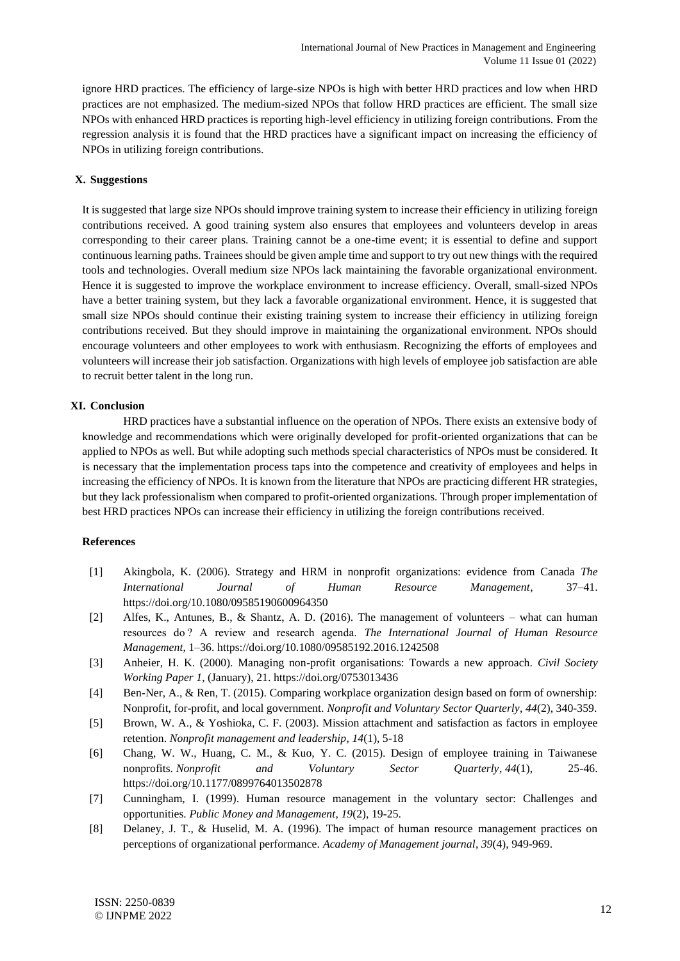ignore HRD practices. The efficiency of large-size NPOs is high with better HRD practices and low when HRD practices are not emphasized. The medium-sized NPOs that follow HRD practices are efficient. The small size NPOs with enhanced HRD practices is reporting high-level efficiency in utilizing foreign contributions. From the regression analysis it is found that the HRD practices have a significant impact on increasing the efficiency of NPOs in utilizing foreign contributions.

## **X. Suggestions**

It is suggested that large size NPOs should improve training system to increase their efficiency in utilizing foreign contributions received. A good training system also ensures that employees and volunteers develop in areas corresponding to their career plans. Training cannot be a one-time event; it is essential to define and support continuous learning paths. Trainees should be given ample time and support to try out new things with the required tools and technologies. Overall medium size NPOs lack maintaining the favorable organizational environment. Hence it is suggested to improve the workplace environment to increase efficiency. Overall, small-sized NPOs have a better training system, but they lack a favorable organizational environment. Hence, it is suggested that small size NPOs should continue their existing training system to increase their efficiency in utilizing foreign contributions received. But they should improve in maintaining the organizational environment. NPOs should encourage volunteers and other employees to work with enthusiasm. Recognizing the efforts of employees and volunteers will increase their job satisfaction. Organizations with high levels of employee job satisfaction are able to recruit better talent in the long run.

## **XI. Conclusion**

HRD practices have a substantial influence on the operation of NPOs. There exists an extensive body of knowledge and recommendations which were originally developed for profit-oriented organizations that can be applied to NPOs as well. But while adopting such methods special characteristics of NPOs must be considered. It is necessary that the implementation process taps into the competence and creativity of employees and helps in increasing the efficiency of NPOs. It is known from the literature that NPOs are practicing different HR strategies, but they lack professionalism when compared to profit-oriented organizations. Through proper implementation of best HRD practices NPOs can increase their efficiency in utilizing the foreign contributions received.

## **References**

- [1] Akingbola, K. (2006). Strategy and HRM in nonprofit organizations: evidence from Canada *The International Journal of Human Resource Management*, 37–41. https://doi.org/10.1080/09585190600964350
- [2] Alfes, K., Antunes, B., & Shantz, A. D. (2016). The management of volunteers what can human resources do ? A review and research agenda. *The International Journal of Human Resource Management*, 1–36. https://doi.org/10.1080/09585192.2016.1242508
- [3] Anheier, H. K. (2000). Managing non-profit organisations: Towards a new approach. *Civil Society Working Paper 1*, (January), 21. https://doi.org/0753013436
- [4] Ben-Ner, A., & Ren, T. (2015). Comparing workplace organization design based on form of ownership: Nonprofit, for-profit, and local government. *Nonprofit and Voluntary Sector Quarterly*, *44*(2), 340-359.
- [5] Brown, W. A., & Yoshioka, C. F. (2003). Mission attachment and satisfaction as factors in employee retention. *Nonprofit management and leadership*, *14*(1), 5-18
- [6] Chang, W. W., Huang, C. M., & Kuo, Y. C. (2015). Design of employee training in Taiwanese nonprofits. *Nonprofit and Voluntary Sector Quarterly*, *44*(1), 25-46. https://doi.org/10.1177/0899764013502878
- [7] Cunningham, I. (1999). Human resource management in the voluntary sector: Challenges and opportunities. *Public Money and Management*, *19*(2), 19-25.
- [8] Delaney, J. T., & Huselid, M. A. (1996). The impact of human resource management practices on perceptions of organizational performance. *Academy of Management journal*, *39*(4), 949-969.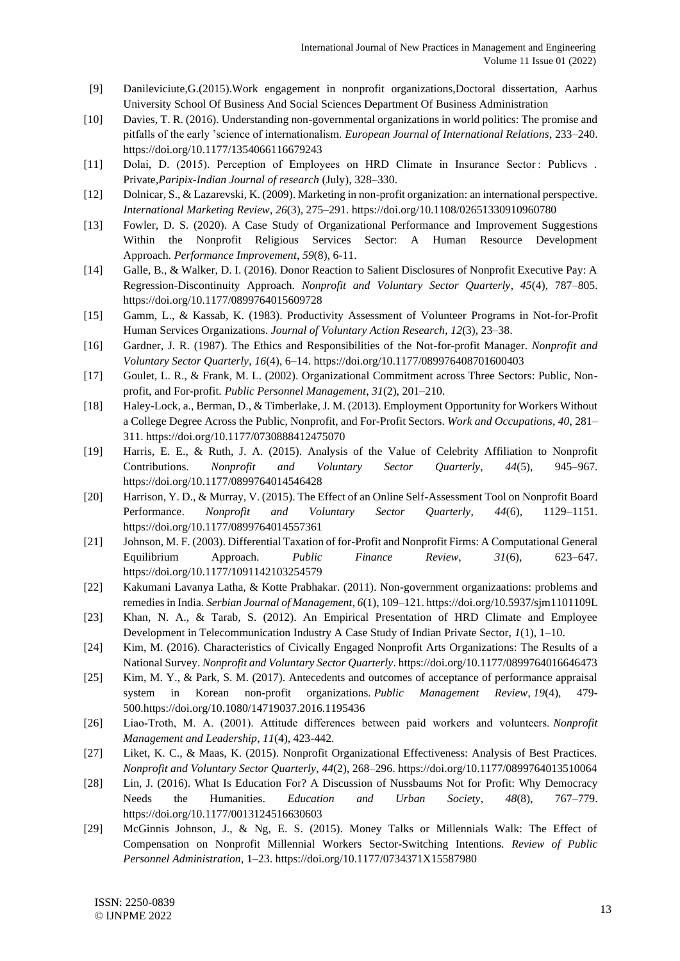- [9] Danileviciute,G.(2015).Work engagement in nonprofit organizations,Doctoral dissertation, Aarhus University School Of Business And Social Sciences Department Of Business Administration
- [10] Davies, T. R. (2016). Understanding non-governmental organizations in world politics: The promise and pitfalls of the early 'science of internationalism. *European Journal of International Relations*, 233–240. https://doi.org/10.1177/1354066116679243
- [11] Dolai, D. (2015). Perception of Employees on HRD Climate in Insurance Sector: Publicvs . Private,*Paripix-Indian Journal of research* (July), 328–330.
- [12] Dolnicar, S., & Lazarevski, K. (2009). Marketing in non-profit organization: an international perspective. *International Marketing Review*, *26*(3), 275–291. https://doi.org/10.1108/02651330910960780
- [13] Fowler, D. S. (2020). A Case Study of Organizational Performance and Improvement Suggestions Within the Nonprofit Religious Services Sector: A Human Resource Development Approach. *Performance Improvement*, *59*(8), 6-11.
- [14] Galle, B., & Walker, D. I. (2016). Donor Reaction to Salient Disclosures of Nonprofit Executive Pay: A Regression-Discontinuity Approach. *Nonprofit and Voluntary Sector Quarterly*, *45*(4), 787–805. https://doi.org/10.1177/0899764015609728
- [15] Gamm, L., & Kassab, K. (1983). Productivity Assessment of Volunteer Programs in Not-for-Profit Human Services Organizations. *Journal of Voluntary Action Research*, *12*(3), 23–38.
- [16] Gardner, J. R. (1987). The Ethics and Responsibilities of the Not-for-profit Manager. *Nonprofit and Voluntary Sector Quarterly*, *16*(4), 6–14. https://doi.org/10.1177/089976408701600403
- [17] Goulet, L. R., & Frank, M. L. (2002). Organizational Commitment across Three Sectors: Public, Nonprofit, and For-profit. *Public Personnel Management*, *31*(2), 201–210.
- [18] Haley-Lock, a., Berman, D., & Timberlake, J. M. (2013). Employment Opportunity for Workers Without a College Degree Across the Public, Nonprofit, and For-Profit Sectors. *Work and Occupations*, *40*, 281– 311. https://doi.org/10.1177/0730888412475070
- [19] Harris, E. E., & Ruth, J. A. (2015). Analysis of the Value of Celebrity Affiliation to Nonprofit Contributions. *Nonprofit and Voluntary Sector Quarterly*, *44*(5), 945–967. https://doi.org/10.1177/0899764014546428
- [20] Harrison, Y. D., & Murray, V. (2015). The Effect of an Online Self-Assessment Tool on Nonprofit Board Performance. *Nonprofit and Voluntary Sector Quarterly*, *44*(6), 1129–1151. https://doi.org/10.1177/0899764014557361
- [21] Johnson, M. F. (2003). Differential Taxation of for-Profit and Nonprofit Firms: A Computational General Equilibrium Approach. *Public Finance Review*, *31*(6), 623–647. https://doi.org/10.1177/1091142103254579
- [22] Kakumani Lavanya Latha, & Kotte Prabhakar. (2011). Non-government organizaations: problems and remedies in India. *Serbian Journal of Management*, *6*(1), 109–121. https://doi.org/10.5937/sjm1101109L
- [23] Khan, N. A., & Tarab, S. (2012). An Empirical Presentation of HRD Climate and Employee Development in Telecommunication Industry A Case Study of Indian Private Sector, *1*(1), 1–10.
- [24] Kim, M. (2016). Characteristics of Civically Engaged Nonprofit Arts Organizations: The Results of a National Survey. *Nonprofit and Voluntary Sector Quarterly*. https://doi.org/10.1177/0899764016646473
- [25] Kim, M. Y., & Park, S. M. (2017). Antecedents and outcomes of acceptance of performance appraisal system in Korean non-profit organizations. *Public Management Review*, *19*(4), 479- 500.https://doi.org/10.1080/14719037.2016.1195436
- [26] Liao‐Troth, M. A. (2001). Attitude differences between paid workers and volunteers. *Nonprofit Management and Leadership*, *11*(4), 423-442.
- [27] Liket, K. C., & Maas, K. (2015). Nonprofit Organizational Effectiveness: Analysis of Best Practices. *Nonprofit and Voluntary Sector Quarterly*, *44*(2), 268–296. https://doi.org/10.1177/0899764013510064
- [28] Lin, J. (2016). What Is Education For? A Discussion of Nussbaums Not for Profit: Why Democracy Needs the Humanities. *Education and Urban Society*, *48*(8), 767–779. https://doi.org/10.1177/0013124516630603
- [29] McGinnis Johnson, J., & Ng, E. S. (2015). Money Talks or Millennials Walk: The Effect of Compensation on Nonprofit Millennial Workers Sector-Switching Intentions. *Review of Public Personnel Administration*, 1–23. https://doi.org/10.1177/0734371X15587980